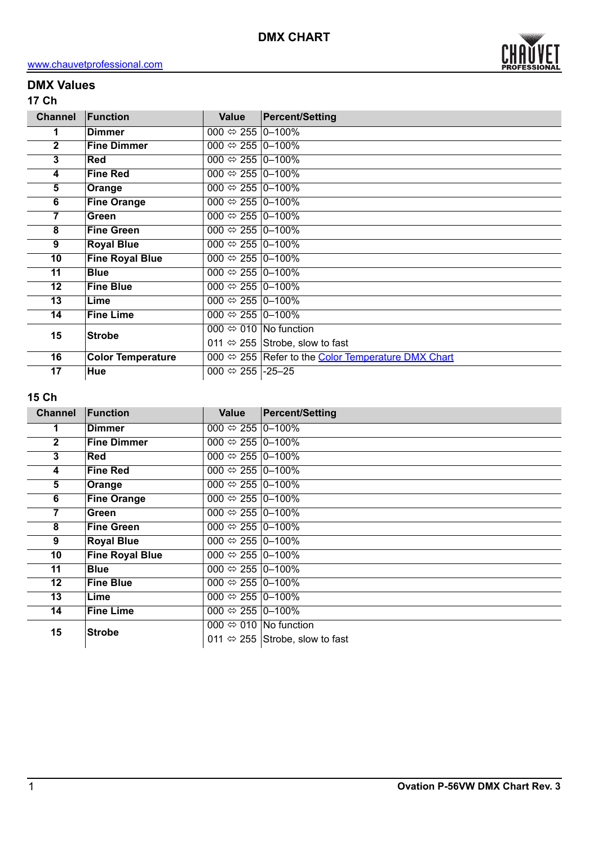

# **DMX Values**

## **17 Ch**

| <b>Channel</b>  | <b>Function</b>          | <b>Value</b>                       | <b>Percent/Setting</b>                                             |
|-----------------|--------------------------|------------------------------------|--------------------------------------------------------------------|
| 1               | <b>Dimmer</b>            | 000 $\Leftrightarrow$ 255   0-100% |                                                                    |
| $\overline{2}$  | <b>Fine Dimmer</b>       | 000 $\Leftrightarrow$ 255 0-100%   |                                                                    |
| 3               | Red                      | 000 $\Leftrightarrow$ 255 0-100%   |                                                                    |
| 4               | <b>Fine Red</b>          | 000 $\Leftrightarrow$ 255 0-100%   |                                                                    |
| 5               | Orange                   | 000 $\Leftrightarrow$ 255 0-100%   |                                                                    |
| 6               | <b>Fine Orange</b>       | 000 $\Leftrightarrow$ 255  0-100%  |                                                                    |
| 7               | Green                    | 000 $\Leftrightarrow$ 255 0-100%   |                                                                    |
| 8               | <b>Fine Green</b>        | 000 $\Leftrightarrow$ 255 0-100%   |                                                                    |
| 9               | <b>Royal Blue</b>        | 000 $\Leftrightarrow$ 255 0-100%   |                                                                    |
| 10              | <b>Fine Royal Blue</b>   | 000 $\Leftrightarrow$ 255 0-100%   |                                                                    |
| 11              | <b>Blue</b>              | 000 $\Leftrightarrow$ 255 0-100%   |                                                                    |
| $12 \,$         | <b>Fine Blue</b>         | 000 $\Leftrightarrow$ 255 0-100%   |                                                                    |
| 13              | Lime                     | 000 $\Leftrightarrow$ 255 0-100%   |                                                                    |
| 14              | <b>Fine Lime</b>         | 000 $\Leftrightarrow$ 255 0-100%   |                                                                    |
| 15              | <b>Strobe</b>            |                                    | 000 $\Leftrightarrow$ 010 No function                              |
|                 |                          |                                    | 011 $\Leftrightarrow$ 255 Strobe, slow to fast                     |
| 16              | <b>Color Temperature</b> |                                    | 000 $\Leftrightarrow$ 255 Refer to the Color Temperature DMX Chart |
| $\overline{17}$ | Hue                      | 000 $\Leftrightarrow$ 255 -25 -25  |                                                                    |

### **15 Ch**

| <b>Channel</b> | Function               | Value                              | <b>Percent/Setting</b>                         |  |  |
|----------------|------------------------|------------------------------------|------------------------------------------------|--|--|
|                | <b>Dimmer</b>          | 000 $\Leftrightarrow$ 255 0-100%   |                                                |  |  |
| $\mathbf{2}$   | <b>Fine Dimmer</b>     | 000 $\Leftrightarrow$ 255 0-100%   |                                                |  |  |
| 3              | <b>Red</b>             | 000 $\Leftrightarrow$ 255 0-100%   |                                                |  |  |
| 4              | <b>Fine Red</b>        | 000 $\Leftrightarrow$ 255 0-100%   |                                                |  |  |
| 5              | Orange                 | 000 $\Leftrightarrow$ 255 0-100%   |                                                |  |  |
| 6              | <b>Fine Orange</b>     | 000 $\Leftrightarrow$ 255   0–100% |                                                |  |  |
| 7              | Green                  | 000 $\Leftrightarrow$ 255 0-100%   |                                                |  |  |
| 8              | <b>Fine Green</b>      | 000 $\Leftrightarrow$ 255 0-100%   |                                                |  |  |
| 9              | <b>Royal Blue</b>      | 000 $\Leftrightarrow$ 255 0-100%   |                                                |  |  |
| 10             | <b>Fine Royal Blue</b> | 000 $\Leftrightarrow$ 255 0-100%   |                                                |  |  |
| 11             | <b>Blue</b>            | 000 $\Leftrightarrow$ 255 0-100%   |                                                |  |  |
| $12 \,$        | <b>Fine Blue</b>       | 000 $\Leftrightarrow$ 255   0–100% |                                                |  |  |
| 13             | Lime                   | 000 $\Leftrightarrow$ 255  0-100%  |                                                |  |  |
| 14             | <b>Fine Lime</b>       | 000 $\Leftrightarrow$ 255   0–100% |                                                |  |  |
| 15             | <b>Strobe</b>          |                                    | 000 $\Leftrightarrow$ 010   No function        |  |  |
|                |                        |                                    | 011 $\Leftrightarrow$ 255 Strobe, slow to fast |  |  |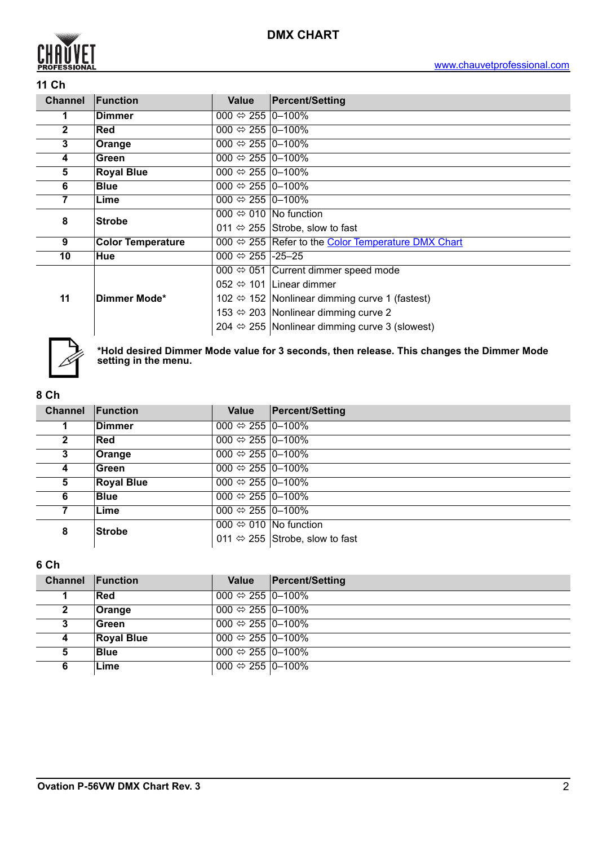

### **11 Ch**

| <b>Channel</b> | Function                                                                                       | Value                              | <b>Percent/Setting</b>                                          |  |  |  |  |
|----------------|------------------------------------------------------------------------------------------------|------------------------------------|-----------------------------------------------------------------|--|--|--|--|
|                | <b>Dimmer</b>                                                                                  | 000 $\Leftrightarrow$ 255  0-100%  |                                                                 |  |  |  |  |
| $\mathbf 2$    | 000 $\Leftrightarrow$ 255  0-100%<br><b>Red</b>                                                |                                    |                                                                 |  |  |  |  |
| 3              | Orange                                                                                         | 000 $\Leftrightarrow$ 255   0-100% |                                                                 |  |  |  |  |
| 4              | Green                                                                                          | 000 $\Leftrightarrow$ 255 0-100%   |                                                                 |  |  |  |  |
| 5              | <b>Royal Blue</b>                                                                              | 000 $\Leftrightarrow$ 255 0-100%   |                                                                 |  |  |  |  |
| 6              | <b>Blue</b><br>000 $\Leftrightarrow$ 255 0-100%                                                |                                    |                                                                 |  |  |  |  |
| 7              | 000 $\Leftrightarrow$ 255 0-100%<br>Lime                                                       |                                    |                                                                 |  |  |  |  |
| 8              | <b>Strobe</b>                                                                                  |                                    | 000 $\Leftrightarrow$ 010   No function                         |  |  |  |  |
|                |                                                                                                |                                    | 011 $\Leftrightarrow$ 255 Strobe, slow to fast                  |  |  |  |  |
| 9              | 000 $\Leftrightarrow$ 255 Refer to the Color Temperature DMX Chart<br><b>Color Temperature</b> |                                    |                                                                 |  |  |  |  |
| 10             | Hue                                                                                            | 000 $\Leftrightarrow$ 255 -25 -25  |                                                                 |  |  |  |  |
|                | Dimmer Mode*                                                                                   |                                    | $\overline{000} \Leftrightarrow 051$ Current dimmer speed mode  |  |  |  |  |
|                |                                                                                                |                                    | 052 $\Leftrightarrow$ 101 Linear dimmer                         |  |  |  |  |
| 11             |                                                                                                |                                    | 102 $\Leftrightarrow$ 152   Nonlinear dimming curve 1 (fastest) |  |  |  |  |
|                |                                                                                                |                                    | 153 $\Leftrightarrow$ 203 Nonlinear dimming curve 2             |  |  |  |  |
|                |                                                                                                |                                    | 204 $\Leftrightarrow$ 255 Nonlinear dimming curve 3 (slowest)   |  |  |  |  |



**\*Hold desired Dimmer Mode value for 3 seconds, then release. This changes the Dimmer Mode setting in the menu.**

#### **8 Ch**

| <b>Channel</b> | Function                                   | Value                            | <b>Percent/Setting</b>                         |
|----------------|--------------------------------------------|----------------------------------|------------------------------------------------|
|                | Dimmer                                     | 000 $\Leftrightarrow$ 255 0-100% |                                                |
| $\mathbf{2}$   | <b>Red</b>                                 | 000 $\Leftrightarrow$ 255 0–100% |                                                |
| 3              | 000 $\Leftrightarrow$ 255 0-100%<br>Orange |                                  |                                                |
| 4              | Green                                      | 000 $\Leftrightarrow$ 255 0-100% |                                                |
| 5              | <b>Royal Blue</b>                          | 000 $\Leftrightarrow$ 255 0-100% |                                                |
| 6              | <b>Blue</b>                                | 000 $\Leftrightarrow$ 255 0–100% |                                                |
|                | Lime                                       | 000 $\Leftrightarrow$ 255 0-100% |                                                |
| 8              | <b>Strobe</b>                              |                                  | 000 $\Leftrightarrow$ 010 No function          |
|                |                                            |                                  | 011 $\Leftrightarrow$ 255 Strobe, slow to fast |

### **6 Ch**

| <b>Channel Function</b> |                   | Value                            | <b>Percent/Setting</b> |
|-------------------------|-------------------|----------------------------------|------------------------|
|                         | <b>Red</b>        | 000 $\Leftrightarrow$ 255 0-100% |                        |
| 2                       | Orange            | $000 \Leftrightarrow 255$ 0-100% |                        |
| 3                       | Green             | 000 $\Leftrightarrow$ 255 0-100% |                        |
| 4                       | <b>Royal Blue</b> | 000 $\Leftrightarrow$ 255 0-100% |                        |
| 5                       | <b>Blue</b>       | 000 $\Leftrightarrow$ 255 0-100% |                        |
| 6                       | Lime              | 000 ⇔ 255 $ 0-100\% $            |                        |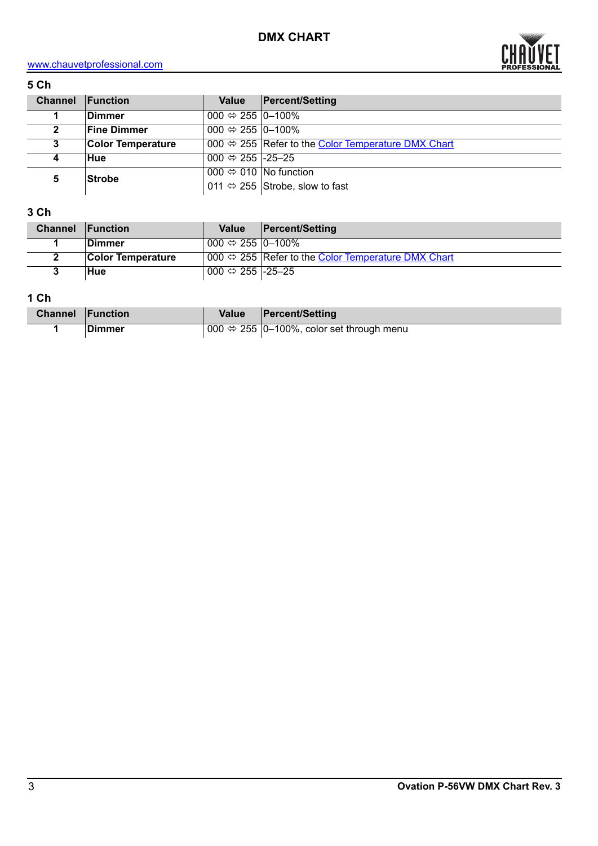

# <www.chauvetprofessional.com>

## **5 Ch**

| <b>Channel</b> | <b>Function</b>          | Value                                 | <b>Percent/Setting</b>                             |  |  |  |
|----------------|--------------------------|---------------------------------------|----------------------------------------------------|--|--|--|
|                | <b>Dimmer</b>            | 000 $\Leftrightarrow$ 255 0-100%      |                                                    |  |  |  |
| $\mathbf{2}$   | <b>Fine Dimmer</b>       | 000 $\Leftrightarrow$ 255 0–100%      |                                                    |  |  |  |
| 3              | <b>Color Temperature</b> |                                       | 000 ⇔ 255 Refer to the Color Temperature DMX Chart |  |  |  |
| 4              | Hue                      | 000 $\Leftrightarrow$ 255 -25 -25     |                                                    |  |  |  |
| 5              | <b>Strobe</b>            | 000 $\Leftrightarrow$ 010 No function |                                                    |  |  |  |
|                |                          |                                       | 011 $\Leftrightarrow$ 255 Strobe, slow to fast     |  |  |  |

## **3 Ch**

| <b>Channel</b> | $\blacksquare$ Function  | Value                                 | <b>Percent/Setting</b>                                             |
|----------------|--------------------------|---------------------------------------|--------------------------------------------------------------------|
|                | ⊺Dimmer                  | 000 $\Leftrightarrow$ 255 $ 0-100\% $ |                                                                    |
|                | <b>Color Temperature</b> |                                       | 000 $\Leftrightarrow$ 255 Refer to the Color Temperature DMX Chart |
|                | Hue                      | 000 ⇔ 255 -25-25                      |                                                                    |

# **1 Ch**

| <b>Channel Function</b> |         | <b>Value</b> | Percent/Setting                                           |
|-------------------------|---------|--------------|-----------------------------------------------------------|
|                         | ∣Dimmer |              | 000 $\Leftrightarrow$ 255  0-100%, color set through menu |